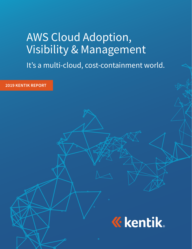# AWS Cloud Adoption, Visibility & Management

It's a multi-cloud, cost-containment world.

**2019 KENTIK REPORT***<u><b>K</u>* kentik.  $K \times \mathbb{R}$  is a set of the state of the state of the state of the state of the state of the state of the state of the state of the state of the state of the state of the state of the state of the state of the state of th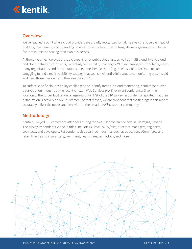

## **Overview**

We've reached a point where cloud providers are broadly recognized for taking away the huge overhead of building, maintaining, and upgrading physical infrastructure. That, in turn, allows organizations to better focus resources on scaling their own businesses.

At the same time, however, the rapid expansion of public cloud use, as well as multi-cloud, hybrid cloud and cloud-native environments, is creating new visibility challenges. With increasingly distributed systems, many organizations and the operations personnel behind them (e.g. NetOps, SREs, SecOps, etc.) are struggling to find a realistic visibility strategy that spans their entire infrastructure: monitoring systems old and new; those they own and the ones they don't.

To surface specific cloud visibility challenges and identify trends in cloud monitoring, Kentik® conducted a survey of our industry at the recent Amazon Web Services (AWS) re:Invent conference. Given the location of the survey facilitation, a large majority (97% of the 310 survey respondents) reported that their organization is actively an AWS customer. For that reason, we are confident that the findings in this report accurately reflect the needs and behaviors of the broader AWS customer community.

## **Methodology**

Kentik surveyed 310 conference attendees during the AWS user conference held in Las Vegas, Nevada. The survey respondents varied in titles, including C-level, SVPs / VPs, directors, managers, engineers, architects, and developers. Respondents also spanned industries, such as education, eCommerce and retail, finance and insurance, government, health care, technology, and more.

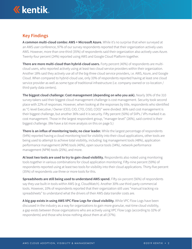

# **Key Findings**

**A common multi-cloud combo: AWS + Microsoft Azure.** While it's no surprise that when surveyed at an AWS user conference, 97% of our survey respondents reported that their organization actively uses AWS. However, more than one-third (35%) of respondents said their organization also actively uses Azure. Twenty-four percent (24%) reported using AWS and Google Cloud Platform together.

**There are more multi-cloud than hybrid-cloud users.** Forty percent (40%) of respondents are multicloud users, who reported actively using at least two cloud service providers within their organization. Another 18% said they actively use all of the big-three cloud service providers, i.e. AWS, Azure, and Google Cloud. When compared to hybrid-cloud use, only 33% of respondents reported having at least one cloud service provider as well as some type of traditional infrastructure (i.e. company-owned or co-location / third-party data centers).

**The biggest cloud challenge: Cost management (depending on who you ask).** Nearly 30% of the 310 survey-takers said their biggest cloud management challenge is cost management. Security took second place with 22% of responses. However, when looking at the responses by title, respondents who identified as "C-level Executive / Owner (CEO, CIO, CTO, CISO, COO)" were divided: 36% said cost management is their biggest challenge, but another 36% said it is security. Fifty percent (50%) of SVPs / VPs marked it as cost management. Those in the largest respondent group, "manager-level" (26%), said control is their biggest challenge. (We have a lot more analysis on this on page 5.)

**There is an influx of monitoring tools; no clear leader.** While the largest percentage of respondents (54%) reported having a cloud monitoring tool for visibility into their cloud applications, other tools are being used to attempt to achieve total visibility, including: log management tools (48%), application performance management (APM) tools (40%), open source tools (34%), network performance management (NPM) tools (25%), and more.

**At least two tools are used to try to gain cloud visibility.** Respondents also noted using monitoring tools together in various combinations for cloud application monitoring. Fifty-nine percent (59%) of respondents reported using at least two tools for visibility into their cloud applications. Thirty-five percent (35%) of respondents use three or more tools for this.

**Spreadsheets are still being used to understand AWS spend.** Fifty-six percent (56%) of respondents say they use built-in tools within AWS (e.g. CloudWatch). Another 30% use third-party commercial tools. However, 10% of respondents reported that their organization still uses "manual tracking via spreadsheets" to understand what the drivers of their AWS data transfer costs are.

**A big gap exists in using AWS VPC Flow Logs for cloud visibility.** While VPC Flow Logs have been discussed in the industry as a way for organizations to gain more granular, real-time cloud visibility, a gap exists between those organizations who are actively using VPC Flow Logs (according to 32% of respondents) and those who know nothing about them at all (37%).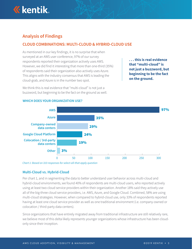

# **Analysis of Findings**

## **CLOUD COMBINATIONS: MULTI-CLOUD & HYBRID-CLOUD USE**

As mentioned in our key findings, it is no surprise that when surveyed at an AWS user conference, 97% of our survey respondents reported their organization actively uses AWS. However, we did find it interesting that more than one-third (35%) of respondents said their organization also actively uses Azure. This aligns with the industry consensus that AWS is leading the cloud-grab, and Azure is in the number two spot.

We think this is real evidence that "multi-cloud" is not just a buzzword, but beginning to be the fact on the ground as well. **. . . this is real evidence that "multi-cloud" is not just a buzzword, but beginning to be the fact on the ground.** 



#### **WHICH DOES YOUR ORGANIZATION USE?**

*Chart 1: Based on 310 responses for select-all-that-apply question*

## **Multi-Cloud vs. Hybrid-Cloud**

Per chart 1, and in segmenting the data to better understand user behavior across multi-cloud and hybrid-cloud environments, we found 40% of respondents are multi-cloud users, who reported actively using at least two cloud service providers within their organization. Another 18% said they actively use all of the big-three cloud service providers, i.e. AWS, Azure, and Google Cloud. Combined, 58% are using multi-cloud strategies. However, when compared to hybrid-cloud use, only 33% of respondents reported having at least one cloud service provider as well as one traditional environment (i.e. company-owned or colocation / third-party data centers).

Since organizations that have entirely migrated away from traditional infrastructure are still relatively rare, we believe most of this delta likely represents younger organizations whose infrastructure has been cloudonly since their inception.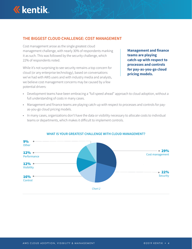

## **THE BIGGEST CLOUD CHALLENGE: COST MANAGEMENT**

Cost management arose as the single greatest cloud management challenge, with nearly 30% of respondents marking it as such. This was followed by the security challenge, which 22% of respondents noted.

While it's not surprising to see security remains a top concern for cloud (or any enterprise technology), based on conversations we've had with AWS users and with industry media and analysts, we believe cost management concerns may be caused by a few potential drivers:

**Management and finance teams are playing catch-up with respect to processes and controls for pay-as-you-go cloud pricing models.** 

- Development teams have been embracing a "full speed ahead" approach to cloud adoption, without a full understanding of costs in many cases.
- Management and finance teams are playing catch-up with respect to processes and controls for payas-you-go cloud pricing models.
- In many cases, organizations don't have the data or visibility necessary to allocate costs to individual teams or departments, which makes it difficult to implement controls.



#### **WHAT IS YOUR GREATEST CHALLENGE WITH CLOUD MANAGEMENT?**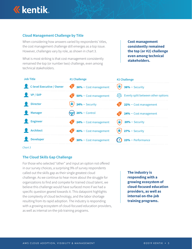

## **Cloud Management Challenge by Title**

When considering how answers varied by respondents' titles, the cost management challenge still emerges as a top issue. However, challenges vary by role, as shown in chart 3.

What is most striking is that cost management consistently remained the top (or number two) challenge, even among technical stakeholders.

**Cost management consistently remained the top (or #2) challenge even among technical stakeholders.**

| <b>Job Title</b>          | #1 Challenge                    | #2 Challenge                                                                      |
|---------------------------|---------------------------------|-----------------------------------------------------------------------------------|
| C-level Executive / Owner | $\bullet$ 36% – Cost management | $\left(\frac{h}{2}\right)$ 36% – Security                                         |
| VP / SVP                  | 50% - Cost management           | $\Delta$ [ $\Delta$ Evenly split between other options                            |
| <b>Director</b>           | $\bullet$ 24% – Security        | $22%$ – Cost management                                                           |
| <b>Manager</b>            | $\leftrightarrow$ 26% – Control | 24% - Cost management                                                             |
| <b>Engineer</b>           | $\bullet$ 24% – Cost management | $\left(\frac{1}{2}\right)$ 20% – Security                                         |
| <b>Architect</b>          | 40% - Cost management           | $\theta$ 27% – Security                                                           |
| <b>Developer</b>          | $30%$ – Cost management         | $\left(\begin{array}{cc} \bullet \\ \bullet \end{array}\right)$ 23% – Performance |

*Chart 3*

#### **The Cloud Skills Gap Challenge**

For those who selected "other" and input an option not offered in our survey choices, a surprising 9% of survey respondents called out the skills gap as their single greatest cloud challenge. As we continue to hear more about the struggle for organizations to find and compete for trained cloud talent, we believe this challenge would have surfaced more if we had a specific question geared towards it. This datapoint highlights the complexity of cloud technology, and the labor shortage resulting from its rapid adoption. The industry is responding with a growing ecosystem of cloud-focused education providers, as well as internal on-the-job training programs.

**The industry is responding with a growing ecosystem of cloud-focused education providers, as well as internal on-the-job training programs.**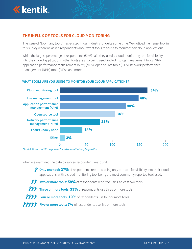

## **THE INFLUX OF TOOLS FOR CLOUD MONITORING**

The issue of "too many tools" has existed in our industry for quite some time. We noticed it emerge, too, in this survey when we asked respondents about what tools they use to monitor their cloud applications.

While the largest percentage of respondents (54%) said they used a cloud monitoring tool for visibility into their cloud applications, other tools are also being used, including: log management tools (48%), application performance management (APM) (40%), open source tools (34%), network performance management (NPM) tools (25%), and more.



#### **WHAT TOOLS ARE YOU USING TO MONITOR YOUR CLOUD APPLICATIONS?**

*Chart 4: Based on 310 responses for select-all-that-apply question*

When we examined the data by survey respondent, we found:

**Only one tool:** 27% of respondents reported using only one tool for visibility into their cloud 27% applications; with a cloud monitoring tool being the most commonly reported tool used.

Two or more tools: 59% of respondents reported using at least two tools.

Three or more tools: 35% of respondents use three or more tools.

Four or more tools: 10% of respondents use four or more tools.

Five or more tools: 7% of respondents use five or more tools!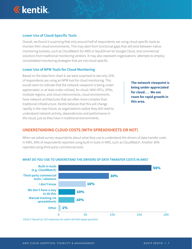

## **Lower Use of Cloud-Specific Tools**

Overall, we found it surprising that only around half of respondents are using cloud-specific tools to monitor their cloud environments. This may stem from functional gaps that still exist between native monitoring toolsets, such as CloudWatch for AWS or StackDriver for Google Cloud, and commercial solutions from traditional monitoring vendors. It may also represent organizations' attempts to employ consolidated monitoring strategies that are not cloud-specific.

#### **Lower Use of NPM Tools for Cloud Monitoring**

Based on the data from chart 4, we were surprised to see only 25% of respondents are using an NPM tool for cloud monitoring. This would seem to indicate that the network viewpoint is being underappreciated, or at least under-utilized, for cloud. With VPCs, VPNs, multiple regions, and cloud interconnects, cloud environments have network architectures that are often more complex than traditional infrastructure. Kentik believes that this will change rapidly in the near future, as organizations realize they still need to understand network activity, dependencies and performance in the cloud, just as they have in traditional environments.

**The network viewpoint is being under-appreciated for cloud. . . We see room for rapid growth in this area.**

## **UNDERSTANDING CLOUD COSTS (WITH SPREADSHEETS OR NOT)**

When we asked survey respondents about what they use to understand the drivers of data transfer costs in AWS, 56% of respondents reported using built-in tools in AWS, such as CloudWatch. Another 30% reported using third-party commercial tools.



#### **WHAT DO YOU USE TO UNDERSTAND THE DRIVERS OF DATA TRANSFER COSTS IN AWS?**

*Chart 5: Based on 310 responses for select-all-that-apply question*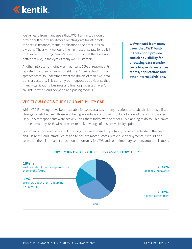

We've heard from many users that AWS' built-in tools don't provide sufficient visibility for allocating data transfer costs to specific instances, teams, applications and other internal divisions. That's why we found the high-response rate for built-in tools rather surprising. Kentik's conclusion is that there are no better options, in the eyes of many AWS customers.

Another interesting finding was that nearly 10% of respondents reported that their organization still uses "manual tracking via spreadsheets" to understand what the drivers of their AWS data transfer costs are. This can only be interpreted as evidence that many organizations' business and finance processes haven't caught up with cloud adoption and pricing models.

**We've heard from many users that AWS' builtin tools don't provide sufficient visibility for allocating data transfer costs to specific instances, teams, applications and other internal divisions.**

## **VPC FLOW LOGS & THE CLOUD VISIBILITY GAP**

While VPC Flow Logs have been available for years as a way for organizations to establish cloud visibility, a clear gap exists between those who taking advantage and those who do not know of the option to do so. Only 32% of respondents were actively using them today, with another 15% planning to do so. This leaves the clear majority, 54%, with no plans or no knowledge of this rich visibility option.

For organizations not using VPC Flow Logs, we see a missed opportunity to better understand the health and usage of cloud infrastructure and to achieve more success with cloud deployments. It would also seem that there is a market education opportunity for AWS and complimentary vendors around this topic.



#### **HOW IS YOUR ORGANIZATION USING AWS VPC FLOW LOGS?**